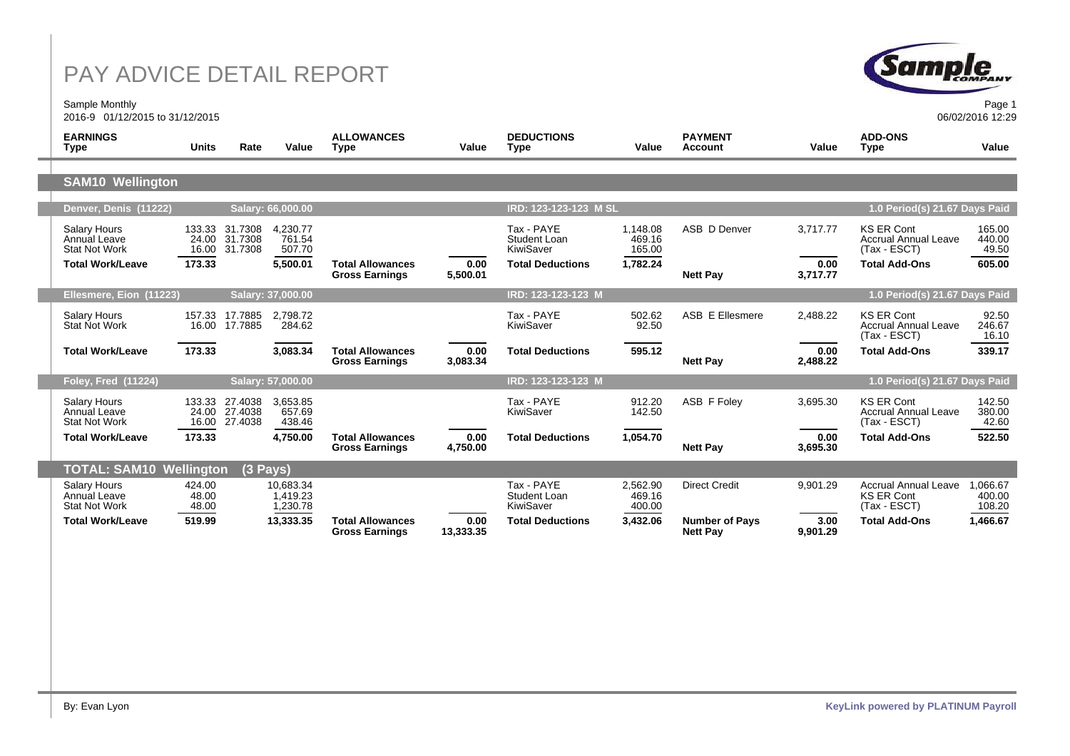Sample Monthly 2016-9 01/12/2015 to 31/12/2015



06/02/2016 12:29

| <b>EARNINGS</b><br>Type                                     | Units                    | Rate                                             | Value                             | <b>ALLOWANCES</b><br>Type                        | Value             | <b>DEDUCTIONS</b><br><b>Type</b>        | Value                        | <b>PAYMENT</b><br><b>Account</b>         | Value            | <b>ADD-ONS</b><br><b>Type</b>                                    | Value                        |
|-------------------------------------------------------------|--------------------------|--------------------------------------------------|-----------------------------------|--------------------------------------------------|-------------------|-----------------------------------------|------------------------------|------------------------------------------|------------------|------------------------------------------------------------------|------------------------------|
|                                                             |                          |                                                  |                                   |                                                  |                   |                                         |                              |                                          |                  |                                                                  |                              |
| <b>SAM10 Wellington</b>                                     |                          |                                                  |                                   |                                                  |                   |                                         |                              |                                          |                  |                                                                  |                              |
| Denver, Denis (11222)                                       |                          |                                                  | Salary: 66,000.00                 |                                                  |                   | IRD: 123-123-123 M SL                   |                              |                                          |                  | 1.0 Period(s) 21.67 Days Paid                                    |                              |
| Salary Hours<br>Annual Leave<br><b>Stat Not Work</b>        | 24.00                    | 133.33 31.7308<br>31.7308<br>16.00 31.7308       | 4,230.77<br>761.54<br>507.70      |                                                  |                   | Tax - PAYE<br>Student Loan<br>KiwiSaver | 1,148.08<br>469.16<br>165.00 | ASB D Denver                             | 3,717.77         | <b>KS ER Cont</b><br><b>Accrual Annual Leave</b><br>(Tax - ESCT) | 165.00<br>440.00<br>49.50    |
| <b>Total Work/Leave</b>                                     | 173.33                   |                                                  | 5,500.01                          | <b>Total Allowances</b><br><b>Gross Earnings</b> | 0.00<br>5,500.01  | <b>Total Deductions</b>                 | 1,782.24                     | <b>Nett Pay</b>                          | 0.00<br>3,717.77 | <b>Total Add-Ons</b>                                             | 605.00                       |
| Ellesmere, Eion (11223)                                     |                          |                                                  | Salary: 37,000.00                 |                                                  |                   | IRD: 123-123-123 M                      |                              |                                          |                  | 1.0 Period(s) 21.67 Days Paid                                    |                              |
| Salary Hours<br>Stat Not Work                               |                          | 157.33 17.7885<br>16.00 17.7885                  | 2.798.72<br>284.62                |                                                  |                   | Tax - PAYE<br>KiwiSaver                 | 502.62<br>92.50              | ASB E Ellesmere                          | 2,488.22         | <b>KS ER Cont</b><br><b>Accrual Annual Leave</b><br>(Tax - ESCT) | 92.50<br>246.67<br>16.10     |
| Total Work/Leave                                            | 173.33                   |                                                  | 3,083.34                          | <b>Total Allowances</b><br><b>Gross Earnings</b> | 0.00<br>3,083.34  | <b>Total Deductions</b>                 | 595.12                       | <b>Nett Pay</b>                          | 0.00<br>2,488.22 | <b>Total Add-Ons</b>                                             | 339.17                       |
| <b>Foley, Fred (11224)</b>                                  |                          |                                                  | Salary: 57,000.00                 |                                                  |                   | IRD: 123-123-123 M                      |                              |                                          |                  | 1.0 Period(s) 21.67 Days Paid                                    |                              |
| Salarv Hours<br>Annual Leave<br><b>Stat Not Work</b>        |                          | 133.33 27.4038<br>24.00 27.4038<br>16.00 27.4038 | 3,653.85<br>657.69<br>438.46      |                                                  |                   | Tax - PAYE<br>KiwiSaver                 | 912.20<br>142.50             | ASB F Foley                              | 3,695.30         | <b>KS ER Cont</b><br>Accrual Annual Leave<br>(Tax - ESCT)        | 142.50<br>380.00<br>42.60    |
| <b>Total Work/Leave</b>                                     | 173.33                   |                                                  | 4,750.00                          | <b>Total Allowances</b><br><b>Gross Earnings</b> | 0.00<br>4,750.00  | <b>Total Deductions</b>                 | 1,054.70                     | <b>Nett Pay</b>                          | 0.00<br>3,695.30 | <b>Total Add-Ons</b>                                             | 522.50                       |
| <b>TOTAL: SAM10 Wellington</b>                              |                          | $(3$ Pays)                                       |                                   |                                                  |                   |                                         |                              |                                          |                  |                                                                  |                              |
| <b>Salary Hours</b><br>Annual Leave<br><b>Stat Not Work</b> | 424.00<br>48.00<br>48.00 |                                                  | 10.683.34<br>1.419.23<br>1,230.78 |                                                  |                   | Tax - PAYE<br>Student Loan<br>KiwiSaver | 2,562.90<br>469.16<br>400.00 | <b>Direct Credit</b>                     | 9,901.29         | <b>Accrual Annual Leave</b><br>KS ER Cont<br>(Tax - ESCT)        | 1.066.67<br>400.00<br>108.20 |
| <b>Total Work/Leave</b>                                     | 519.99                   |                                                  | 13,333.35                         | <b>Total Allowances</b><br><b>Gross Earnings</b> | 0.00<br>13,333.35 | <b>Total Deductions</b>                 | 3,432.06                     | <b>Number of Pays</b><br><b>Nett Pay</b> | 3.00<br>9,901.29 | <b>Total Add-Ons</b>                                             | 1,466.67                     |
|                                                             |                          |                                                  |                                   |                                                  |                   |                                         |                              |                                          |                  |                                                                  |                              |
|                                                             |                          |                                                  |                                   |                                                  |                   |                                         |                              |                                          |                  |                                                                  |                              |
|                                                             |                          |                                                  |                                   |                                                  |                   |                                         |                              |                                          |                  |                                                                  |                              |
|                                                             |                          |                                                  |                                   |                                                  |                   |                                         |                              |                                          |                  |                                                                  |                              |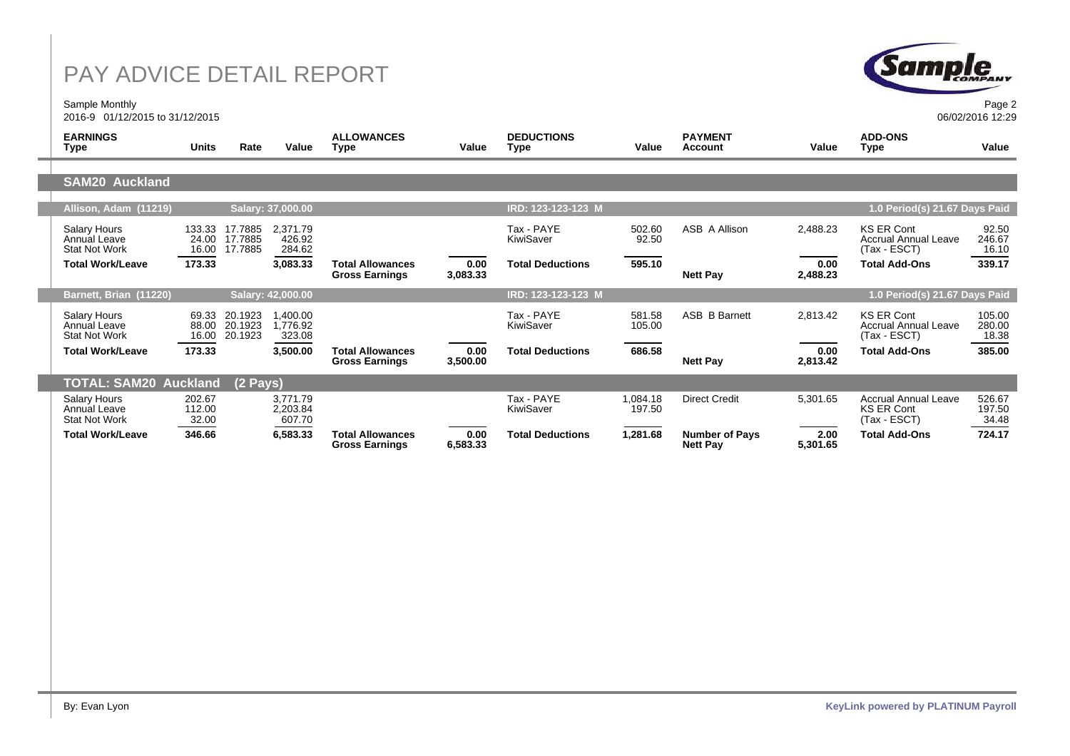Sample Monthly 2016-9 01/12/2015 to 31/12/2015



06/02/2016 12:29

| <b>EARNINGS</b><br><b>Type</b>                                     | <b>Units</b>              | Rate                          | Value                          | <b>ALLOWANCES</b><br><b>Type</b>                 | Value            | <b>DEDUCTIONS</b><br><b>Type</b> | Value              | <b>PAYMENT</b><br><b>Account</b>         | Value            | <b>ADD-ONS</b><br><b>Type</b>                                    | Value                     |
|--------------------------------------------------------------------|---------------------------|-------------------------------|--------------------------------|--------------------------------------------------|------------------|----------------------------------|--------------------|------------------------------------------|------------------|------------------------------------------------------------------|---------------------------|
|                                                                    |                           |                               |                                |                                                  |                  |                                  |                    |                                          |                  |                                                                  |                           |
| <b>SAM20 Auckland</b>                                              |                           |                               |                                |                                                  |                  |                                  |                    |                                          |                  |                                                                  |                           |
| Allison, Adam (11219)                                              |                           |                               | Salary: 37,000.00              |                                                  |                  | IRD: 123-123-123 M               |                    |                                          |                  | 1.0 Period(s) 21.67 Days Paid                                    |                           |
| <b>Salary Hours</b><br>Annual Leave<br><b>Stat Not Work</b>        | 133.33<br>24.00<br>16.00  | 17.7885<br>17.7885<br>17.7885 | 2,371.79<br>426.92<br>284.62   |                                                  |                  | Tax - PAYE<br>KiwiSaver          | 502.60<br>92.50    | ASB A Allison                            | 2,488.23         | <b>KS ER Cont</b><br><b>Accrual Annual Leave</b><br>(Tax - ESCT) | 92.50<br>246.67<br>16.10  |
| <b>Total Work/Leave</b>                                            | 173.33                    |                               | 3,083.33                       | <b>Total Allowances</b><br><b>Gross Earnings</b> | 0.00<br>3,083.33 | <b>Total Deductions</b>          | 595.10             | <b>Nett Pay</b>                          | 0.00<br>2,488.23 | <b>Total Add-Ons</b>                                             | 339.17                    |
| Barnett, Brian (11220)                                             |                           |                               | Salary: 42,000.00              |                                                  |                  | IRD: 123-123-123 M               |                    |                                          |                  | 1.0 Period(s) 21.67 Days Paid                                    |                           |
| <b>Salary Hours</b><br><b>Annual Leave</b><br><b>Stat Not Work</b> | 69.33<br>88.00<br>16.00   | 20.1923<br>20.1923<br>20.1923 | 1,400.00<br>1,776.92<br>323.08 |                                                  |                  | Tax - PAYE<br>KiwiSaver          | 581.58<br>105.00   | <b>ASB B Barnett</b>                     | 2,813.42         | <b>KS ER Cont</b><br><b>Accrual Annual Leave</b><br>(Tax - ESCT) | 105.00<br>280.00<br>18.38 |
| <b>Total Work/Leave</b>                                            | 173.33                    |                               | 3,500.00                       | <b>Total Allowances</b><br><b>Gross Earnings</b> | 0.00<br>3,500.00 | <b>Total Deductions</b>          | 686.58             | <b>Nett Pay</b>                          | 0.00<br>2,813.42 | <b>Total Add-Ons</b>                                             | 385.00                    |
| <b>TOTAL: SAM20 Auckland</b>                                       |                           | $(2 \text{ Pays})$            |                                |                                                  |                  |                                  |                    |                                          |                  |                                                                  |                           |
| <b>Salary Hours</b><br>Annual Leave<br><b>Stat Not Work</b>        | 202.67<br>112.00<br>32.00 |                               | 3,771.79<br>2,203.84<br>607.70 |                                                  |                  | Tax - PAYE<br>KiwiSaver          | 1,084.18<br>197.50 | <b>Direct Credit</b>                     | 5,301.65         | <b>Accrual Annual Leave</b><br><b>KS ER Cont</b><br>(Tax - ESCT) | 526.67<br>197.50<br>34.48 |
| <b>Total Work/Leave</b>                                            | 346.66                    |                               | 6,583.33                       | <b>Total Allowances</b><br><b>Gross Earnings</b> | 0.00<br>6,583.33 | <b>Total Deductions</b>          | 1,281.68           | <b>Number of Pays</b><br><b>Nett Pay</b> | 2.00<br>5,301.65 | <b>Total Add-Ons</b>                                             | 724.17                    |
|                                                                    |                           |                               |                                |                                                  |                  |                                  |                    |                                          |                  |                                                                  |                           |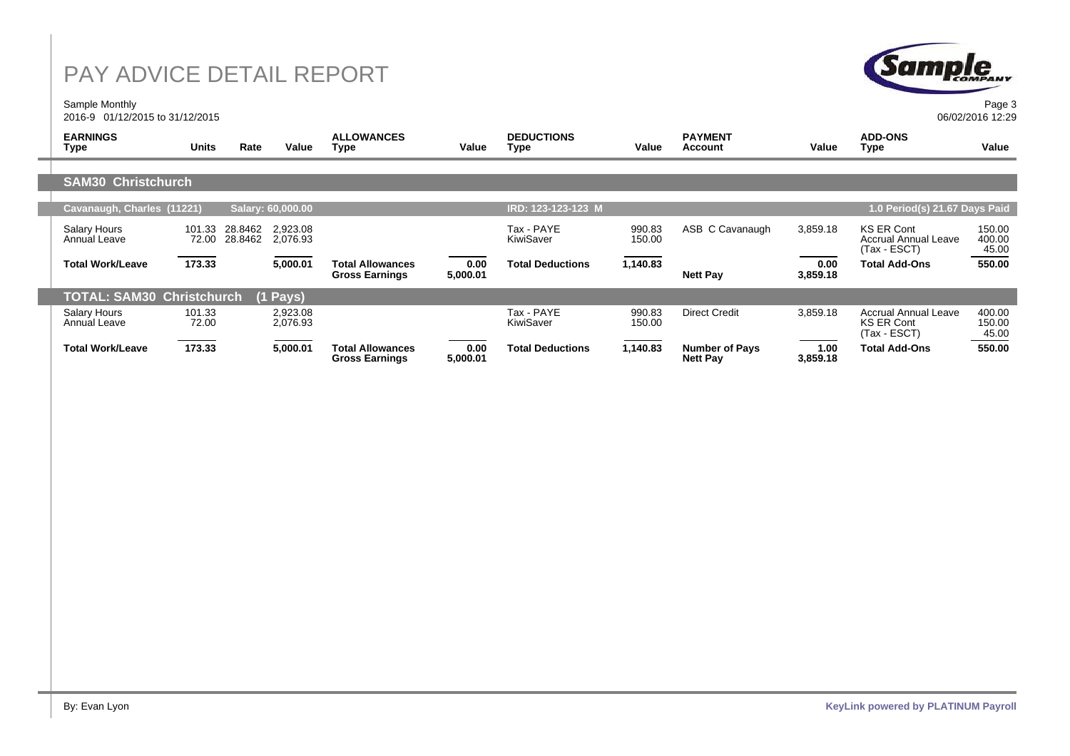Sample Monthly 2016-9 01/12/2015 to 31/12/2015



Page 3 06/02/2016 12:29

| <b>EARNINGS</b><br>Type                      | Units<br>Rate                         | Value                | <b>ALLOWANCES</b><br>Type                        | Value            | <b>DEDUCTIONS</b><br>Type | Value            | <b>PAYMENT</b><br>Account                | Value            | <b>ADD-ONS</b><br>Type                                           | Value                     |
|----------------------------------------------|---------------------------------------|----------------------|--------------------------------------------------|------------------|---------------------------|------------------|------------------------------------------|------------------|------------------------------------------------------------------|---------------------------|
|                                              |                                       |                      |                                                  |                  |                           |                  |                                          |                  |                                                                  |                           |
| <b>SAM30 Christchurch</b>                    |                                       |                      |                                                  |                  |                           |                  |                                          |                  |                                                                  |                           |
|                                              |                                       |                      |                                                  |                  |                           |                  |                                          |                  |                                                                  |                           |
| Cavanaugh, Charles (11221)                   |                                       | Salary: 60,000.00    |                                                  |                  | IRD: 123-123-123 M        |                  |                                          |                  | 1.0 Period(s) 21.67 Days Paid                                    |                           |
| Salary Hours<br>Annual Leave                 | 101.33<br>28.8462<br>72.00<br>28.8462 | 2.923.08<br>2.076.93 |                                                  |                  | Tax - PAYE<br>KiwiSaver   | 990.83<br>150.00 | ASB C Cavanaugh                          | 3,859.18         | <b>KS ER Cont</b><br><b>Accrual Annual Leave</b><br>(Tax - ESCT) | 150.00<br>400.00<br>45.00 |
| <b>Total Work/Leave</b>                      | 173.33                                | 5,000.01             | <b>Total Allowances</b><br><b>Gross Earnings</b> | 0.00<br>5,000.01 | <b>Total Deductions</b>   | 1,140.83         | <b>Nett Pay</b>                          | 0.00<br>3,859.18 | <b>Total Add-Ons</b>                                             | 550.00                    |
| <b>TOTAL: SAM30 Christchurch</b><br>(1 Pays) |                                       |                      |                                                  |                  |                           |                  |                                          |                  |                                                                  |                           |
| Salary Hours<br>Annual Leave                 | 101.33<br>72.00                       | 2,923.08<br>2,076.93 |                                                  |                  | Tax - PAYE<br>KiwiSaver   | 990.83<br>150.00 | <b>Direct Credit</b>                     | 3,859.18         | Accrual Annual Leave<br><b>KS ER Cont</b><br>(Tax - ESCT)        | 400.00<br>150.00<br>45.00 |
| <b>Total Work/Leave</b>                      | 173.33                                | 5,000.01             | <b>Total Allowances</b><br><b>Gross Earnings</b> | 0.00<br>5,000.01 | <b>Total Deductions</b>   | 1,140.83         | <b>Number of Pays</b><br><b>Nett Pay</b> | 1.00<br>3,859.18 | <b>Total Add-Ons</b>                                             | 550.00                    |